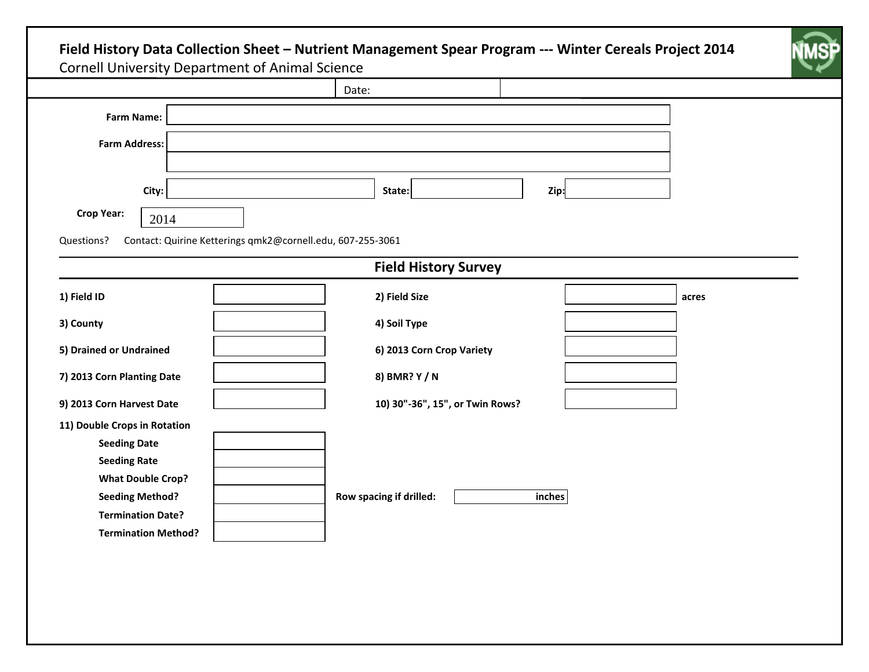|                                                    |       |                                                            | Date:                           |      |       |
|----------------------------------------------------|-------|------------------------------------------------------------|---------------------------------|------|-------|
| <b>Farm Name:</b>                                  |       |                                                            |                                 |      |       |
| <b>Farm Address:</b>                               |       |                                                            |                                 |      |       |
|                                                    |       |                                                            |                                 |      |       |
|                                                    | City: |                                                            | State:                          | Zip: |       |
| <b>Crop Year:</b>                                  | 2014  |                                                            |                                 |      |       |
| Questions?                                         |       | Contact: Quirine Ketterings qmk2@cornell.edu, 607-255-3061 |                                 |      |       |
|                                                    |       |                                                            | <b>Field History Survey</b>     |      |       |
| 1) Field ID                                        |       |                                                            | 2) Field Size                   |      | acres |
| 3) County                                          |       |                                                            | 4) Soil Type                    |      |       |
| 5) Drained or Undrained                            |       |                                                            | 6) 2013 Corn Crop Variety       |      |       |
| 7) 2013 Corn Planting Date                         |       |                                                            | 8) BMR? Y / N                   |      |       |
| 9) 2013 Corn Harvest Date                          |       |                                                            | 10) 30"-36", 15", or Twin Rows? |      |       |
| 11) Double Crops in Rotation                       |       |                                                            |                                 |      |       |
| <b>Seeding Date</b>                                |       |                                                            |                                 |      |       |
| <b>Seeding Rate</b>                                |       |                                                            |                                 |      |       |
| <b>What Double Crop?</b><br><b>Seeding Method?</b> |       | Row spacing if drilled:                                    | inches                          |      |       |
| <b>Termination Date?</b>                           |       |                                                            |                                 |      |       |
| <b>Termination Method?</b>                         |       |                                                            |                                 |      |       |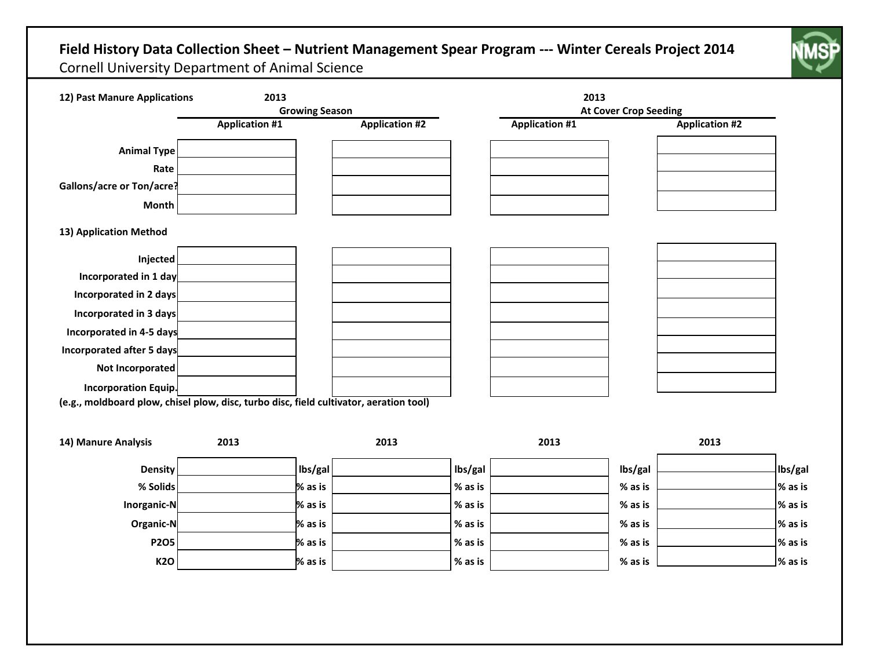## **Field History Data Collection Sheet – Nutrient Management Spear Program --- Winter Cereals Project 2014** Cornell University Department of Animal Science